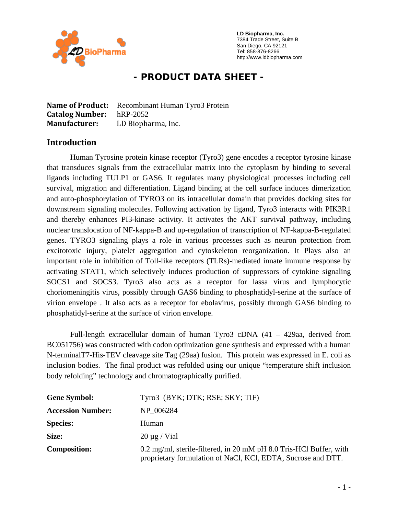

 **LD Biopharma, Inc.**  7384 Trade Street, Suite B San Diego, CA 92121 Tel: 858-876-8266 http://www.ldbiopharma.com

# **- PRODUCT DATA SHEET -**

**Name of Product:** Recombinant Human Tyro3 Protein **Catalog Number:** hRP-2052 **Manufacturer:** LD Biopharma, Inc.

### **Introduction**

Human Tyrosine protein kinase receptor (Tyro3) gene encodes a receptor tyrosine kinase that transduces signals from the extracellular matrix into the cytoplasm by binding to several ligands including TULP1 or GAS6. It regulates many physiological processes including cell survival, migration and differentiation. Ligand binding at the cell surface induces dimerization and auto-phosphorylation of TYRO3 on its intracellular domain that provides docking sites for downstream signaling molecules. Following activation by ligand, Tyro3 interacts with PIK3R1 and thereby enhances PI3-kinase activity. It activates the AKT survival pathway, including nuclear translocation of NF-kappa-B and up-regulation of transcription of NF-kappa-B-regulated genes. TYRO3 signaling plays a role in various processes such as neuron protection from excitotoxic injury, platelet aggregation and cytoskeleton reorganization. It Plays also an important role in inhibition of Toll-like receptors (TLRs)-mediated innate immune response by activating STAT1, which selectively induces production of suppressors of cytokine signaling SOCS1 and SOCS3. Tyro3 also acts as a receptor for lassa virus and lymphocytic choriomeningitis virus, possibly through GAS6 binding to phosphatidyl-serine at the surface of virion envelope . It also acts as a receptor for ebolavirus, possibly through GAS6 binding to phosphatidyl-serine at the surface of virion envelope.

Full-length extracellular domain of human Tyro3 cDNA (41 – 429aa, derived from BC051756) was constructed with codon optimization gene synthesis and expressed with a human N-terminalT7-His-TEV cleavage site Tag (29aa) fusion. This protein was expressed in E. coli as inclusion bodies. The final product was refolded using our unique "temperature shift inclusion body refolding" technology and chromatographically purified.

| <b>Gene Symbol:</b>      | Tyro3 (BYK; DTK; RSE; SKY; TIF)                                                                                                    |
|--------------------------|------------------------------------------------------------------------------------------------------------------------------------|
| <b>Accession Number:</b> | NP 006284                                                                                                                          |
| <b>Species:</b>          | Human                                                                                                                              |
| Size:                    | $20 \mu g$ / Vial                                                                                                                  |
| <b>Composition:</b>      | 0.2 mg/ml, sterile-filtered, in 20 mM pH 8.0 Tris-HCl Buffer, with<br>proprietary formulation of NaCl, KCl, EDTA, Sucrose and DTT. |